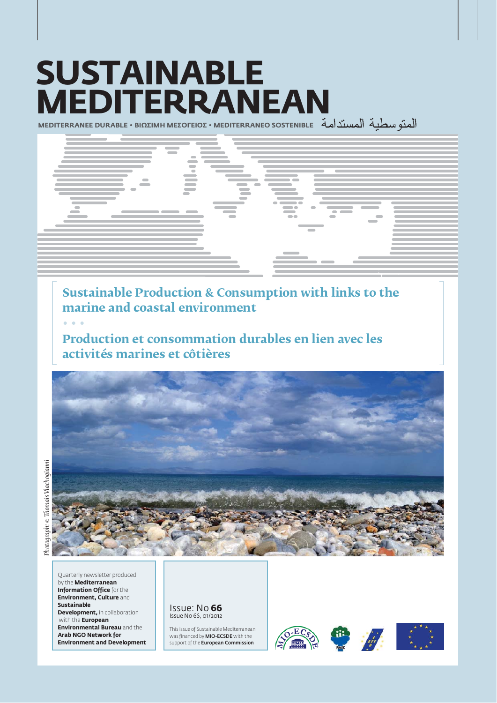# **SUSTAINABLE MEDITERRANEAN**

**MEDITERRANEE DURABLE • ΒΙΩΣΙΜΗ ΜΕΣΟΓΕΙΟΣ • ΜΕDITERRANEO SOSTENIBLE** 



**Sustainable Production & Consumption with links to the marine and coastal environment**

**řřř**

**Production et consommation durables en lien avec les activités marines et côtières**



Quarterly newsletter produced by the **Mediterranean Information Office** for the **Environment, Culture** and **Sustai na ble Development, in collaboration** with the **European Environmental Bureau** and the **Arab NGO Network for Environment and Development** 

Issue: No **66** Issue No 66, 01/2012

This issue of Sustainable Mediterranean was financed by MIO-ECSDE with the support of the **European Commission** 

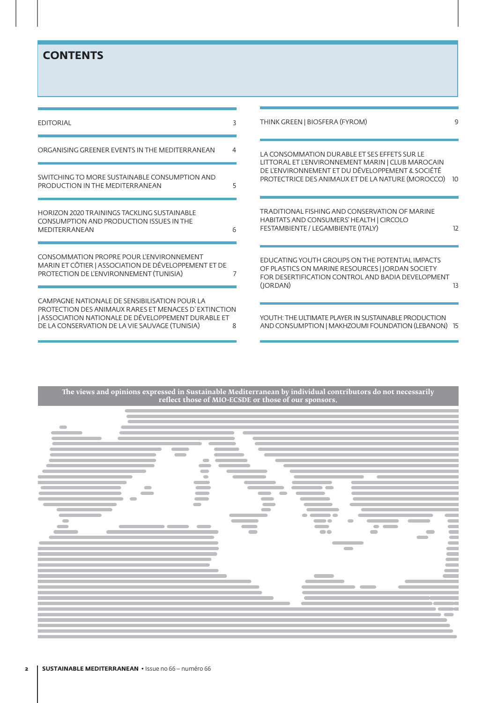## **CONTENTS**

| <b>EDITORIAL</b>                                                                                                                                                                                             | 3 | THINK GREEN   BIOSFERA (FYROM)                                                                                                                                       | q,        |
|--------------------------------------------------------------------------------------------------------------------------------------------------------------------------------------------------------------|---|----------------------------------------------------------------------------------------------------------------------------------------------------------------------|-----------|
| ORGANISING GREENER EVENTS IN THE MEDITERRANEAN                                                                                                                                                               | 4 | LA CONSOMMATION DURABLE ET SES EFFETS SUR LE<br>LITTORAL ET L'ENVIRONNEMENT MARIN   CLUB MAROCAIN                                                                    |           |
| SWITCHING TO MORE SUSTAINABLE CONSUMPTION AND<br>PRODUCTION IN THE MEDITERRANEAN                                                                                                                             | 5 | DE L'ENVIRONNEMENT ET DU DÉVELOPPEMENT & SOCIÉTÉ<br>PROTECTRICE DES ANIMAUX ET DE LA NATURE (MOROCCO)                                                                | <b>10</b> |
| HORIZON 2020 TRAININGS TACKLING SUSTAINABLE<br>CONSUMPTION AND PRODUCTION ISSUES IN THE<br>MEDITERRANEAN                                                                                                     | 6 | TRADITIONAL FISHING AND CONSERVATION OF MARINE<br>HABITATS AND CONSUMERS' HEALTH   CIRCOLO<br>FESTAMBIENTE / LEGAMBIENTE (ITALY)                                     | 12        |
| CONSOMMATION PROPRE POUR L'ENVIRONNEMENT<br>MARIN ET CÔTIER   ASSOCIATION DE DÉVELOPPEMENT ET DE<br>PROTECTION DE L'ENVIRONNEMENT (TUNISIA)                                                                  |   | EDUCATING YOUTH GROUPS ON THE POTENTIAL IMPACTS<br>OF PLASTICS ON MARINE RESOURCES   JORDAN SOCIETY<br>FOR DESERTIFICATION CONTROL AND BADIA DEVELOPMENT<br>(IORDAN) | 13        |
| CAMPAGNE NATIONALE DE SENSIBILISATION POUR LA<br>PROTECTION DES ANIMAUX RARES ET MENACES D'EXTINCTION<br>ASSOCIATION NATIONALE DE DÉVELOPPEMENT DURABLE ET<br>DE LA CONSERVATION DE LA VIE SAUVAGE (TUNISIA) | 8 | YOUTH: THE ULTIMATE PLAYER IN SUSTAINABLE PRODUCTION<br>AND CONSUMPTION   MAKHZOUMI FOUNDATION (LEBANON) 15                                                          |           |

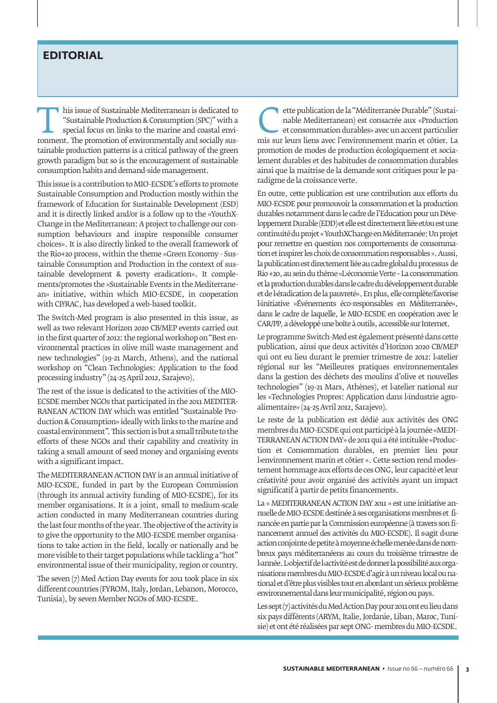## **EDITORIAL**

This issue of Sustainable Mediterranean is dedicated to "Sustainable Production & Consumption (SPC)" with a special focus on links to the marine and coastal environment. The promotion of environmentally and socially sus-"Sustainable Production & Consumption (SPC)" with a special focus on links to the marine and coastal envitainable production patterns is a critical pathway of the green growth paradigm but so is the encouragement of sustainable consumption habits and demand-side management.

This issue is a contribution to MIO-ECSDE's efforts to promote Sustainable Consumption and Production mostly within the framework of Education for Sustainable Development (ESD) and it is directly linked and/or is a follow up to the «YouthX-Change in the Mediterranean: A project to challenge our consumption behaviours and inspire responsible consumer choices». It is also directly linked to the overall framework of the Rio+20 process, within the theme «Green Economy - Sustainable Consumption and Production in the context of sustainable development & poverty eradication». It complements/promotes the «Sustainable Events in the Mediterranean» initiative, within which MIO-ECSDE, in cooperation with CP/RAC, has developed a web-based toolkit.

The Switch-Med program is also presented in this issue, as well as two relevant Horizon 2020 CB/MEP events carried out in the first quarter of 2012: the regional workshop on "Best environmental practices in olive mill waste management and new technologies" (19-21 March, Athens), and the national workshop on "Clean Technologies: Application to the food processing industry" (24-25 April 2012, Sarajevo).

The rest of the issue is dedicated to the activities of the MIO-ECSDE member NGOs that participated in the 2011 MEDITER-RANEAN ACTION DAY which was entitled "Sustainable Production & Consumption» ideally with links to the marine and coastal environment". This section is but a small tribute to the efforts of these NGOs and their capability and creativity in taking a small amount of seed money and organising events with a significant impact.

The MEDITERRANEAN ACTION DAY is an annual initiative of MIO-ECSDE, funded in part by the European Commission (through its annual activity funding of MIO-ECSDE), for its member organisations. It is a joint, small to medium-scale action conducted in many Mediterranean countries during the last four months of the year. The objective of the activity is to give the opportunity to the MIO-ECSDE member organisations to take action in the field, locally or nationally and be more visible to their target populations while tackling a "hot" environmental issue of their municipality, region or country.

The seven (7) Med Action Day events for 2011 took place in six different countries (FYROM, Italy, Jordan, Lebanon, Morocco, Tunisia), by seven Member NGOs of MIO-ECSDE.

ette publication de la "Méditerranée Durable" (Sustainable Mediterranéen) est consacrée aux «Production et consommation durables» avec un accent particulier mis sur leurs liens avec l'environnement marin et côtier. La nable Mediterranean) est consacrée aux «Production et consommation durables» avec un accent particulier promotion de modes de production écologiquement et socialement durables et des habitudes de consommation durables ainsi que la maitrise de la demande sont critiques pour le paradigme de la croissance verte.

En outre, cette publication est une contribution aux efforts du MIO-ECSDE pour promouvoir la consommation et la production durables notamment dans le cadre de l'Education pour un Développement Durable (EDD) et elle est directement liée et/ou est une continuité du projet « YouthXChange en Méditerranée: Un projet pour remettre en question nos comportements de consommation et inspirer les choix de consommation responsables ». Aussi, la publication est directement liée au cadre global du processus de Rio +20, au sein du thème «L›économie Verte – La consommation et la production durables dans le cadre du développement durable et de béradication de la pauvreté». En plus, elle complète/favorise l›initiative «Événements éco-responsables en Méditerranée», dans le cadre de laquelle, le MIO-ECSDE en coopération avec le CAR/PP, a développé une boîte à outils, accessible sur Internet.

Le programme Switch-Med est également présenté dans cette publication, ainsi que deux activités d'Horizon 2020 CB/MEP qui ont eu lieu durant le premier trimestre de 2012: batelier régional sur les "Meilleures pratiques environnementales dans la gestion des déchets des moulins d'olive et nouvelles technologies" (19-21 Mars, Athènes), et batelier national sur les «Technologies Propres: Application dans bindustrie agroalimentaire» (24-25 Avril 2012, Sarajevo).

Le reste de la publication est dédié aux activités des ONG membres du MIO-ECSDE qui ont participé à la journée «MEDI-TERRANEAN ACTION DAY» de 2011 qui a été intitulée «Production et Consommation durables, en premier lieu pour lenvironnement marin et côtier ». Cette section rend modestement hommage aux efforts de ces ONG, leur capacité et leur créativité pour avoir organisé des activités ayant un impact significatif à partir de petits financements.

La « MEDITERRANEAN ACTION DAY 2011 » est une initiative annuelle de MIO-ECSDE destinée à ses organisations membres et financée en partie par la Commission européenne (à travers son financement annuel des activités du MIO-ECSDE). Il sagit d<sub>'une</sub> action conjointe de petite à moyenne échelle menée dans de nombreux pays méditerranéens au cours du troisième trimestre de l›année. L›objectif de l›activité est de donner la possibilité aux organisations membres du MIO-ECSDE d'agir à un niveau local ou national et d'être plus visibles tout en abordant un sérieux problème environnemental dans leur municipalité, région ou pays.

Les sept (7) activités du Med Action Day pour 2011 ont eu lieu dans six pays différents (ARYM, Italie, Jordanie, Liban, Maroc, Tunisie) et ont été réalisées par sept ONG- membres du MIO-ECSDE.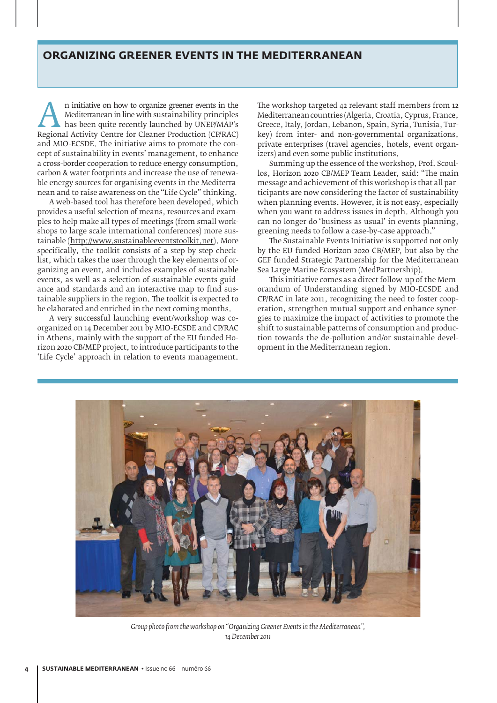#### ORGANIZING GREENER EVENTS IN THE MEDITERRANEAN

n initiative on how to organize greener events in the Mediterranean in line with sustainability principles has been quite recently launched by UNEP/MAP's Regional Activity Centre for Cleaner Production (CP/RAC) Mediterranean in line with sustainability principles has been quite recently launched by UNEP/MAP's and MIO-ECSDE. The initiative aims to promote the concept of sustainability in events' management, to enhance a cross-border cooperation to reduce energy consumption, carbon & water footprints and increase the use of renewable energy sources for organising events in the Mediterranean and to raise awareness on the "Life Cycle" thinking.

A web-based tool has therefore been developed, which provides a useful selection of means, resources and examples to help make all types of meetings (from small workshops to large scale international conferences) more sustainable (http://www.sustainableeventstoolkit.net). More specifically, the toolkit consists of a step-by-step checklist, which takes the user through the key elements of organizing an event, and includes examples of sustainable events, as well as a selection of sustainable events guidance and standards and an interactive map to find sustainable suppliers in the region. The toolkit is expected to be elaborated and enriched in the next coming months.

A very successful launching event/workshop was coorganized on 14 December 2011 by MIO-ECSDE and CP/RAC in Athens, mainly with the support of the EU funded Horizon 2020 CB/MEP project, to introduce participants to the 'Life Cycle' approach in relation to events management.

The workshop targeted 42 relevant staff members from 12 Mediterranean countries (Algeria, Croatia, Cyprus, France, Greece, Italy, Jordan, Lebanon, Spain, Syria, Tunisia, Turkey) from inter- and non-governmental organizations, private enterprises (travel agencies, hotels, event organizers) and even some public institutions.

Summing up the essence of the workshop, Prof. Scoullos, Horizon 2020 CB/MEP Team Leader, said: "The main message and achievement of this workshop is that all participants are now considering the factor of sustainability when planning events. However, it is not easy, especially when you want to address issues in depth. Although you can no longer do 'business as usual' in events planning, greening needs to follow a case-by-case approach."

The Sustainable Events Initiative is supported not only by the EU-funded Horizon 2020 CB/MEP, but also by the GEF funded Strategic Partnership for the Mediterranean Sea Large Marine Ecosystem (MedPartnership).

This initiative comes as a direct follow-up of the Memorandum of Understanding signed by MIO-ECSDE and CP/RAC in late 2011, recognizing the need to foster cooperation, strengthen mutual support and enhance synergies to maximize the impact of activities to promote the shift to sustainable patterns of consumption and production towards the de-pollution and/or sustainable development in the Mediterranean region.



*Group photo from the workshop on "Organizing Greener Events in the Mediterranean", 14 December 2011*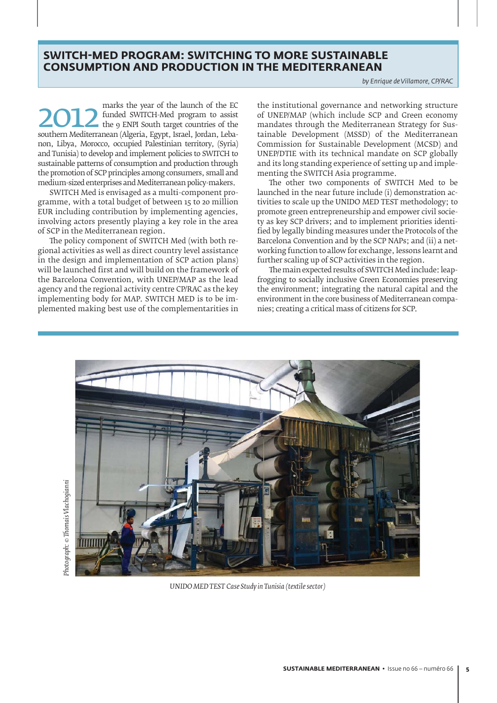## SWITCH-MED PROGRAM: SWITCHING TO MORE SUSTAINABLE **CONSUMPTION AND PRODUCTION IN THE MEDITERRANEAN**

*by Enrique de Villamore, CP/RAC*

**2012** funded SWITCH-Med program to assist the year of the launch of the EC southern Mediterranean (Algeria, Egypt, Israel, Jordan, Lebafunded SWITCH-Med program to assist the 9 ENPI South target countries of the non, Libya, Morocco, occupied Palestinian territory, (Syria) and Tunisia) to develop and implement policies to SWITCH to sustainable patterns of consumption and production through the promotion of SCP principles among consumers, small and medium-sized enterprises and Mediterranean policy-makers.

SWITCH Med is envisaged as a multi-component programme, with a total budget of between 15 to 20 million EUR including contribution by implementing agencies, involving actors presently playing a key role in the area of SCP in the Mediterranean region.

The policy component of SWITCH Med (with both regional activities as well as direct country level assistance in the design and implementation of SCP action plans) will be launched first and will build on the framework of the Barcelona Convention, with UNEP/MAP as the lead agency and the regional activity centre CP/RAC as the key implementing body for MAP. SWITCH MED is to be implemented making best use of the complementarities in the institutional governance and networking structure of UNEP/MAP (which include SCP and Green economy mandates through the Mediterranean Strategy for Sustainable Development (MSSD) of the Mediterranean Commission for Sustainable Development (MCSD) and UNEP/DTIE with its technical mandate on SCP globally and its long standing experience of setting up and implementing the SWITCH Asia programme.

The other two components of SWITCH Med to be launched in the near future include (i) demonstration activities to scale up the UNIDO MED TEST methodology; to promote green entrepreneurship and empower civil society as key SCP drivers; and to implement priorities identified by legally binding measures under the Protocols of the Barcelona Convention and by the SCP NAPs; and (ii) a networking function to allow for exchange, lessons learnt and further scaling up of SCP activities in the region.

The main expected results of SWITCH Med include: leapfrogging to socially inclusive Green Economies preserving the environment; integrating the natural capital and the environment in the core business of Mediterranean companies; creating a critical mass of citizens for SCP.



*UNIDO MED TEST Case Study in Tunisia (textile sector)*

Motograph: © Thomais Vlachoqianni *Photograph: © Thomais Vlachogianni*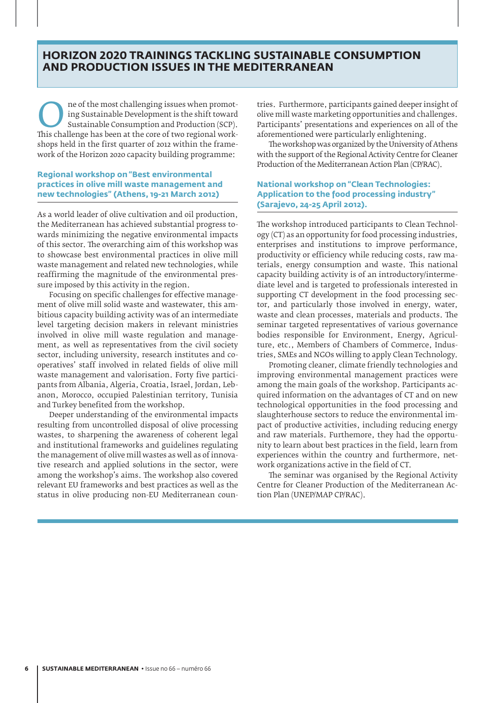#### **HORIZON 2020 TRAININGS TACKLING SUSTAINABLE CONSUMPTION** AND PRODUCTION ISSUES IN THE MEDITERRANEAN

The of the most challenging issues when promoting Sustainable Development is the shift toward<br>
Sustainable Consumption and Production (SCP).<br>
This challenge has been at the core of two regional working Sustainable Development is the shift toward Sustainable Consumption and Production (SCP). shops held in the first quarter of 2012 within the framework of the Horizon 2020 capacity building programme:

#### **Regional workshop on "Best environmental practices in olive mill waste management and new technologies" (Athens, 19-21 March 2012)**

As a world leader of olive cultivation and oil production, the Mediterranean has achieved substantial progress towards minimizing the negative environmental impacts of this sector. The overarching aim of this workshop was to showcase best environmental practices in olive mill waste management and related new technologies, while reaffirming the magnitude of the environmental pressure imposed by this activity in the region.

Focusing on specific challenges for effective management of olive mill solid waste and wastewater, this ambitious capacity building activity was of an intermediate level targeting decision makers in relevant ministries involved in olive mill waste regulation and management, as well as representatives from the civil society sector, including university, research institutes and cooperatives' staff involved in related fields of olive mill waste management and valorisation. Forty five participants from Albania, Algeria, Croatia, Israel, Jordan, Lebanon, Morocco, occupied Palestinian territory, Tunisia and Turkey benefited from the workshop.

Deeper understanding of the environmental impacts resulting from uncontrolled disposal of olive processing wastes, to sharpening the awareness of coherent legal and institutional frameworks and guidelines regulating the management of olive mill wastes as well as of innovative research and applied solutions in the sector, were among the workshop's aims. The workshop also covered relevant EU frameworks and best practices as well as the status in olive producing non-EU Mediterranean countries. Furthermore, participants gained deeper insight of olive mill waste marketing opportunities and challenges. Participants' presentations and experiences on all of the aforementioned were particularly enlightening.

The workshop was organized by the University of Athens with the support of the Regional Activity Centre for Cleaner Production of the Mediterranean Action Plan (CP/RAC).

#### **National workshop on "Clean Technologies: Application to the food processing industry" (Sarajevo, 24-25 April 2012).**

The workshop introduced participants to Clean Technology (CT) as an opportunity for food processing industries, enterprises and institutions to improve performance, productivity or efficiency while reducing costs, raw materials, energy consumption and waste. This national capacity building activity is of an introductory/intermediate level and is targeted to professionals interested in supporting CT development in the food processing sector, and particularly those involved in energy, water, waste and clean processes, materials and products. The seminar targeted representatives of various governance bodies responsible for Environment, Energy, Agriculture, etc., Members of Chambers of Commerce, Industries, SMEs and NGOs willing to apply Clean Technology.

Promoting cleaner, climate friendly technologies and improving environmental management practices were among the main goals of the workshop. Participants acquired information on the advantages of CT and on new technological opportunities in the food processing and slaughterhouse sectors to reduce the environmental impact of productive activities, including reducing energy and raw materials. Furthemore, they had the opportunity to learn about best practices in the field, learn from experiences within the country and furthermore, network organizations active in the field of CT.

The seminar was organised by the Regional Activity Centre for Cleaner Production of the Mediterranean Action Plan (UNEP/MAP CP/RAC).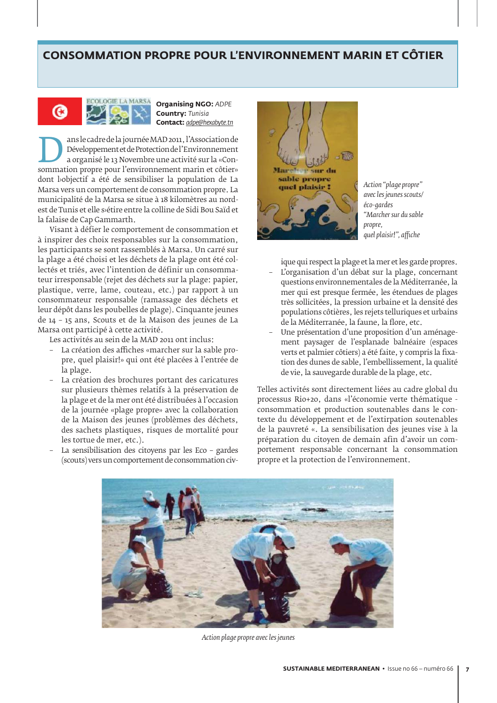## **CONSOMMATION PROPRE POUR L'ENVIRONNEMENT MARIN ET COTIER**



#### **ECOLOGIE LA MARSA** Organising NGO: ADPE **Country: Tunisia ¢¡§§į***adpe@hexabyte.tn*

ans le cadre de la journée MAD 2011, l'Association de<br>
Développement et de Protection de l'Environnement<br>
a organisé le 13 Novembre une activité sur la «Consommation propre pour l'environnement marin et côtier» Développement et de Protection de l'Environnement a organisé le 13 Novembre une activité sur la «Condont l›objectif a été de sensibiliser la population de La Marsa vers un comportement de consommation propre. La municipalité de la Marsa se situe à 18 kilomètres au nordest de Tunis et elle s›étire entre la colline de Sidi Bou Saïd et la falaise de Cap Gammarth.

Visant à défier le comportement de consommation et à inspirer des choix responsables sur la consommation, les participants se sont rassemblés à Marsa. Un carré sur la plage a été choisi et les déchets de la plage ont été collectés et triés, avec l'intention de définir un consommateur irresponsable (rejet des déchets sur la plage: papier, plastique, verre, lame, couteau, etc.) par rapport à un consommateur responsable (ramassage des déchets et leur dépôt dans les poubelles de plage). Cinquante jeunes de 14 – 15 ans, Scouts et de la Maison des jeunes de La Marsa ont participé à cette activité.

Les activités au sein de la MAD 2011 ont inclus:

- La création des affiches «marcher sur la sable propre, quel plaisir!» qui ont été placées à l'entrée de la plage.
- La création des brochures portant des caricatures sur plusieurs thèmes relatifs à la préservation de la plage et de la mer ont été distribuées à l'occasion de la journée «plage propre» avec la collaboration de la Maison des jeunes (problèmes des déchets, des sachets plastiques, risques de mortalité pour les tortue de mer, etc.).
- La sensibilisation des citoyens par les Eco gardes (scouts) vers un comportement de consommation civ-



*Action "plage propre" avec les jeunes scouts/ éco-gardes "Marcher sur du sable propre, quel plaisir!", affiche*

ique qui respect la plage et la mer et les garde propres. – L'organisation d'un débat sur la plage, concernant questions environnementales de la Méditerranée, la mer qui est presque fermée, les étendues de plages très sollicitées, la pression urbaine et la densité des populations côtières, les rejets telluriques et urbains de la Méditerranée, la faune, la flore, etc.

– Une présentation d'une proposition d'un aménagement paysager de l'esplanade balnéaire (espaces verts et palmier côtiers) a été faite, y compris la fixation des dunes de sable, l'embellissement, la qualité de vie, la sauvegarde durable de la plage, etc.

Telles activités sont directement liées au cadre global du processus Rio+20, dans «l'économie verte thématique consommation et production soutenables dans le contexte du développement et de l'extirpation soutenables de la pauvreté «. La sensibilisation des jeunes vise à la préparation du citoyen de demain afin d'avoir un comportement responsable concernant la consommation propre et la protection de l'environnement.



*Action plage propre avec les jeunes*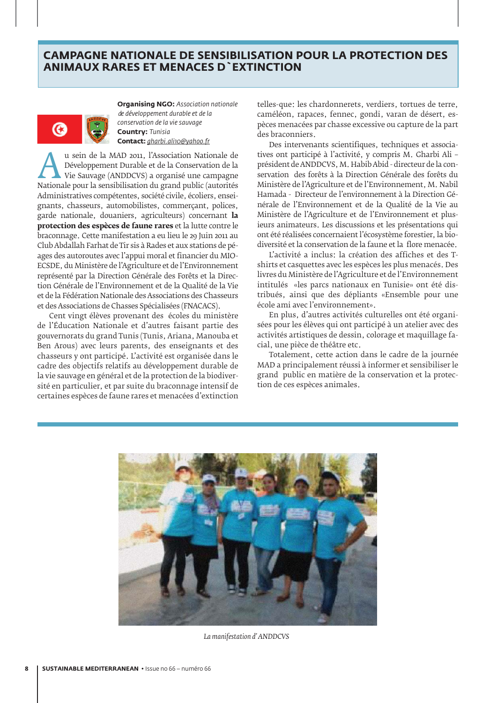## CAMPAGNE NATIONALE DE SENSIBILISATION POUR LA PROTECTION DES **ANIMAUX RARES ET MENACES D`EXTINCTION**



**Organising NGO: Association nationale**  *de développement durable et de la conservation de la vie sauvage*<br>**Country:** Tunisia **Country: Tunisia ¢¡§§į***gharbi.ali10@yahoo.fr*

u sein de la MAD 2011, l'Association Nationale de Développement Durable et de la Conservation de la Vie Sauvage (ANDDCVS) a organisé une campagne Nationale pour la sensibilisation du grand public (autorités Développement Durable et de la Conservation de la Vie Sauvage (ANDDCVS) a organisé une campagne Administratives compétentes, société civile, écoliers, enseignants, chasseurs, automobilistes, commerçant, polices, garde nationale, douaniers, agriculteurs) concernant **la protection des espèces de faune rares** et la lutte contre le braconnage. Cette manifestation a eu lieu le 29 Juin 2011 au Club Abdallah Farhat de Tir sis à Rades et aux stations de péages des autoroutes avec l'appui moral et financier du MIO-ECSDE, du Ministère de l'Agriculture et de l'Environnement représenté par la Direction Générale des Forêts et la Direction Générale de l'Environnement et de la Qualité de la Vie et de la Fédération Nationale des Associations des Chasseurs et des Associations de Chasses Spécialisées (FNACACS).

Cent vingt élèves provenant des écoles du ministère de l'Éducation Nationale et d'autres faisant partie des gouvernorats du grand Tunis (Tunis, Ariana, Manouba et Ben Arous) avec leurs parents, des enseignants et des chasseurs y ont participé. L'activité est organisée dans le cadre des objectifs relatifs au développement durable de la vie sauvage en général et de la protection de la biodiversité en particulier, et par suite du braconnage intensif de certaines espèces de faune rares et menacées d'extinction

telles-que: les chardonnerets, verdiers, tortues de terre, caméléon, rapaces, fennec, gondi, varan de désert, espèces menacées par chasse excessive ou capture de la part des braconniers.

Des intervenants scientifiques, techniques et associatives ont participé à l'activité, y compris M. Gharbi Ali – président de ANDDCVS, M. Habib Abid - directeur de la conservation des forêts à la Direction Générale des forêts du Ministère de l'Agriculture et de l'Environnement, M. Nabil Hamada - Directeur de l'environnement à la Direction Générale de l'Environnement et de la Qualité de la Vie au Ministère de l'Agriculture et de l'Environnement et plusieurs animateurs. Les discussions et les présentations qui ont été réalisées concernaient l'écosystème forestier, la biodiversité et la conservation de la faune et la flore menacée.

L'activité a inclus: la création des affiches et des Tshirts et casquettes avec les espèces les plus menacés. Des livres du Ministère de l'Agriculture et de l'Environnement intitulés «les parcs nationaux en Tunisie» ont été distribués, ainsi que des dépliants «Ensemble pour une école ami avec l'environnement».

En plus, d'autres activités culturelles ont été organisées pour les élèves qui ont participé à un atelier avec des activités artistiques de dessin, colorage et maquillage facial, une pièce de théâtre etc.

Totalement, cette action dans le cadre de la journée MAD a principalement réussi à informer et sensibiliser le grand public en matière de la conservation et la protection de ces espèces animales.



*La manifestation d' ANDDCVS*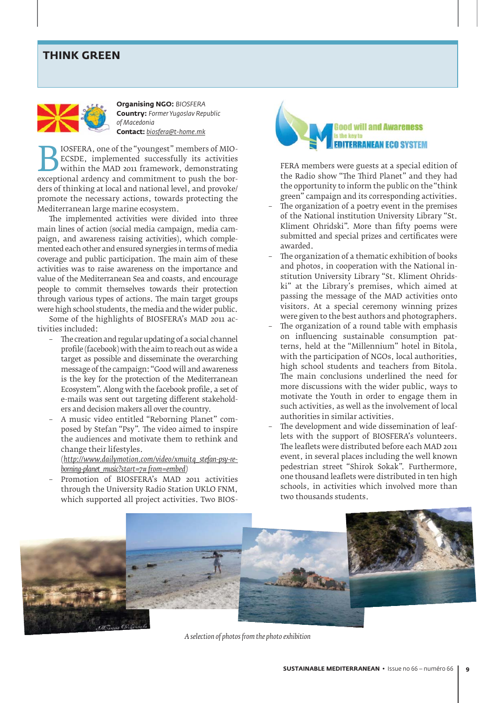## THINK GREEN



**Organising NGO: BIOSFERA Country: Former Yugoslav Republic**  *of Macedonia* **¢¡§§į***biosfera@t-home.mk*

**BIOSFERA, one of the "youngest" members of MIO-**<br>ECSDE, implemented successfully its activities<br>within the MAD 2011 framework, demonstrating<br>exceptional ardency and commitment to push the bor-ECSDE, implemented successfully its activities within the MAD 2011 framework, demonstrating ders of thinking at local and national level, and provoke/ promote the necessary actions, towards protecting the Mediterranean large marine ecosystem.

The implemented activities were divided into three main lines of action (social media campaign, media campaign, and awareness raising activities), which complemented each other and ensured synergies in terms of media coverage and public participation. The main aim of these activities was to raise awareness on the importance and value of the Mediterranean Sea and coasts, and encourage people to commit themselves towards their protection through various types of actions. The main target groups were high school students, the media and the wider public.

Some of the highlights of BIOSFERA's MAD 2011 activities included:

- The creation and regular updating of a social channel profile (facebook) with the aim to reach out as wide a target as possible and disseminate the overarching message of the campaign: "Good will and awareness is the key for the protection of the Mediterranean Ecosystem". Along with the facebook profile, a set of e-mails was sent out targeting different stakeholders and decision makers all over the country.
- A music video entitled "Reborning Planet" composed by Stefan "Psy". The video aimed to inspire the audiences and motivate them to rethink and change their lifestyles.

 (*http://www.dailymotion.com/video/xmuitq\_stefan-psy-reborning-planet\_music?start=7# from=embed)* 

– Promotion of BIOSFERA's MAD 2011 activities through the University Radio Station UKLO FNM, which supported all project activities. Two BIOS-



FERA members were guests at a special edition of the Radio show "The Third Planet" and they had the opportunity to inform the public on the "think green" campaign and its corresponding activities.

- The organization of a poetry event in the premises of the National institution University Library "St. Kliment Ohridski". More than fifty poems were submitted and special prizes and certificates were awarded.
- The organization of a thematic exhibition of books and photos, in cooperation with the National institution University Library "St. Kliment Ohridski" at the Library's premises, which aimed at passing the message of the MAD activities onto visitors. At a special ceremony winning prizes were given to the best authors and photographers.
- The organization of a round table with emphasis on influencing sustainable consumption patterns, held at the "Millennium" hotel in Bitola, with the participation of NGOs, local authorities, high school students and teachers from Bitola. The main conclusions underlined the need for more discussions with the wider public, ways to motivate the Youth in order to engage them in such activities, as well as the involvement of local authorities in similar activities.
- The development and wide dissemination of leaflets with the support of BIOSFERA's volunteers. The leaflets were distributed before each MAD 2011 event, in several places including the well known pedestrian street "Shirok Sokak". Furthermore, one thousand leaflets were distributed in ten high schools, in activities which involved more than two thousands students.



*A selection of photos from the photo exhibition*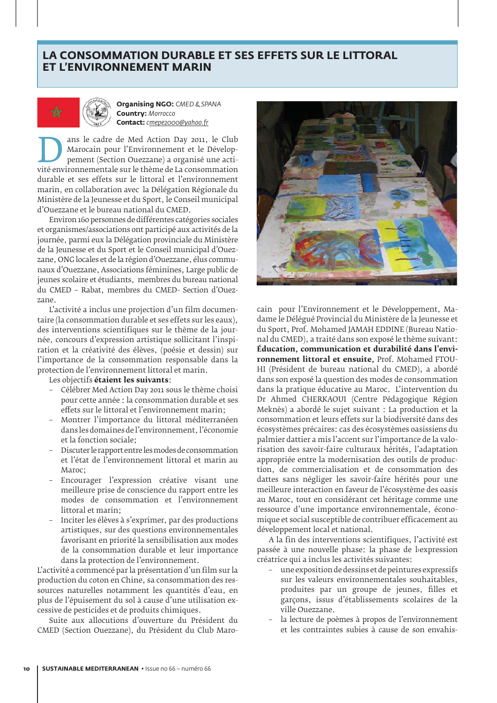## **LA CONSOMMATION DURABLE ET SES EFFETS SUR LE LITTORAL ET L'ENVIRONNEMENT MARIN**



*Organising NGO: CMED & SPANA* **Country: Morrocco ¢¡§§į***cmepe2000@yahoo.fr*

ans le cadre de Med Action Day 2011, le Club<br>
Marocain pour l'Environnement et le Dévelop-<br>
pement (Section Ouezzane) a organisé une acti-<br>
vité environnementale sur le thème de La consommation Marocain pour l'Environnement et le Développement (Section Ouezzane) a organisé une actidurable et ses effets sur le littoral et l'environnement marin, en collaboration avec la Délégation Régionale du Ministère de la Jeunesse et du Sport, le Conseil municipal d'Ouezzane et le bureau national du CMED.

Environ 160 personnes de différentes catégories sociales et organismes/associations ont participé aux activités de la journée, parmi eux la Délégation provinciale du Ministère de la Jeunesse et du Sport et le Conseil municipal d'Ouezzane, ONG locales et de la région d'Ouezzane, élus communaux d'Ouezzane, Associations féminines, Large public de jeunes scolaire et étudiants, membres du bureau national du CMED – Rabat, membres du CMED- Section d'Ouezzane.

L'activité a inclus une projection d'un film documentaire (la consommation durable et ses effets sur les eaux), des interventions scientifiques sur le thème de la journée, concours d'expression artistique sollicitant l'inspiration et la créativité des élèves, (poésie et dessin) sur l'importance de la consommation responsable dans la protection de l'environnement littoral et marin.

Les objectifs **étaient les suivants**:

- Célébrer Med Action Day 2011 sous le thème choisi pour cette année : la consommation durable et ses effets sur le littoral et l'environnement marin;
- Montrer l'importance du littoral méditerranéen dans les domaines de l'environnement, l'économie et la fonction sociale;
- Discuter le rapport entre les modes de consommation et l'état de l'environnement littoral et marin au Maroc;
- Encourager l'expression créative visant une meilleure prise de conscience du rapport entre les modes de consommation et l'environnement littoral et marin;
- Inciter les élèves à s'exprimer, par des productions artistiques, sur des questions environnementales favorisant en priorité la sensibilisation aux modes de la consommation durable et leur importance dans la protection de l'environnement.

L'activité a commencé par la présentation d'un film sur la production du coton en Chine, sa consommation des ressources naturelles notamment les quantités d'eau, en plus de l'épuisement du sol à cause d'une utilisation excessive de pesticides et de produits chimiques.

Suite aux allocutions d'ouverture du Président du CMED (Section Ouezzane), du Président du Club Maro-



cain pour l'Environnement et le Développement, Madame le Délégué Provincial du Ministère de la Jeunesse et du Sport, Prof. Mohamed JAMAH EDDINE (Bureau National du CMED), a traité dans son exposé le thème suivant: **Éducation, communication et durabilité dans l'environnement littoral et ensuite,** Prof. Mohamed FTOU-HI (Président de bureau national du CMED), a abordé dans son exposé la question des modes de consommation dans la pratique éducative au Maroc. L'intervention du Dr Ahmed CHERKAOUI (Centre Pédagogique Région Meknès) a abordé le sujet suivant : La production et la consommation et leurs effets sur la biodiversité dans des écosystèmes précaires: cas des écosystèmes oasissiens du palmier dattier a mis l'accent sur l'importance de la valorisation des savoir-faire culturaux hérités, l'adaptation appropriée entre la modernisation des outils de production, de commercialisation et de consommation des dattes sans négliger les savoir-faire hérités pour une meilleure interaction en faveur de l'écosystème des oasis au Maroc, tout en considérant cet héritage comme une ressource d'une importance environnementale, économique et social susceptible de contribuer efficacement au développement local et national.

A la fin des interventions scientifiques, l'activité est passée à une nouvelle phase: la phase de bexpression créatrice qui a inclus les activités suivantes:

- une exposition de dessins et de peintures expressifs sur les valeurs environnementales souhaitables, produites par un groupe de jeunes, filles et garçons, issus d'établissements scolaires de la ville Ouezzane.
- la lecture de poèmes à propos de l'environnement et les contraintes subies à cause de son envahis-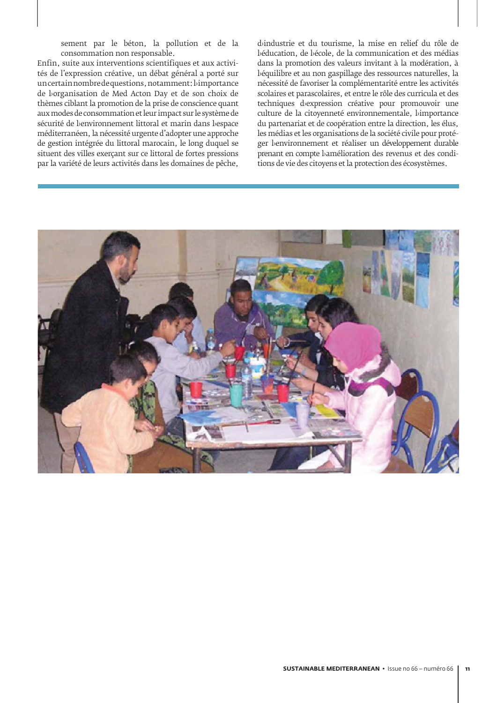sement par le béton, la pollution et de la consommation non responsable.

Enfin, suite aux interventions scientifiques et aux activités de l'expression créative, un débat général a porté sur un certain nombre de questions, notamment: l›importance de l›organisation de Med Acton Day et de son choix de thèmes ciblant la promotion de la prise de conscience quant aux modes de consommation et leur impact sur le système de sécurité de l'environnement littoral et marin dans l'espace méditerranéen, la nécessité urgente d'adopter une approche de gestion intégrée du littoral marocain, le long duquel se situent des villes exerçant sur ce littoral de fortes pressions par la variété de leurs activités dans les domaines de pêche,

d<sub>i</sub>ndustrie et du tourisme, la mise en relief du rôle de l'éducation, de l'école, de la communication et des médias dans la promotion des valeurs invitant à la modération, à béquilibre et au non gaspillage des ressources naturelles, la nécessité de favoriser la complémentarité entre les activités scolaires et parascolaires, et entre le rôle des curricula et des techniques d<sub>'expression créative pour promouvoir une</sub> culture de la citoyenneté environnementale, bimportance du partenariat et de coopération entre la direction, les élus, les médias et les organisations de la société civile pour protéger benvironnement et réaliser un développement durable prenant en compte lamélioration des revenus et des conditions de vie des citoyens et la protection des écosystèmes.

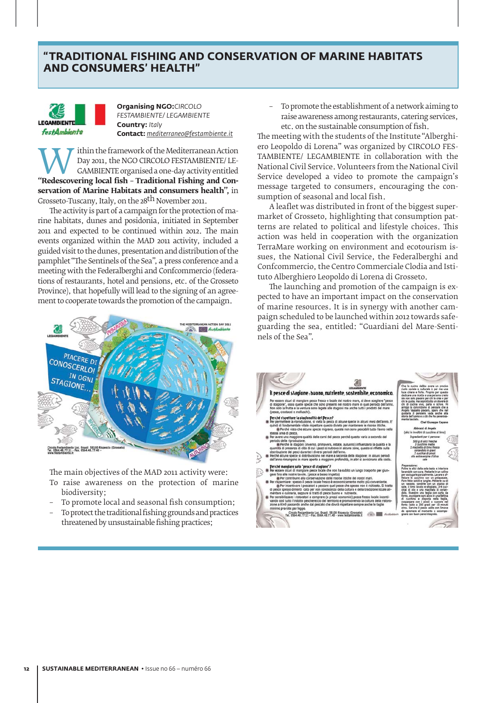## **TRADITIONAL FISHING AND CONSERVATION OF MARINE HABITATS AND CONSUMERS' HEALTH"**



**Organising NGO:**CIRCOLO **FESTAMBIENTE/ LEGAMBIENTE Country: Italy ¢¡§§į***mediterraneo@festambiente.it*

**WE US THE FRAMELY CAMBIENTE OF CONCOLO FESTAMBIENTE/ LE-<br>
CAMBIENTE organised a one-day activity entitled<br>
"Redescovering local fish – Traditional Fishing and Con-**Day 2011, the NGO CIRCOLO FESTAMBIENTE/ LE-GAMBIENTE organised a one-day activity entitled **servation of Marine Habitats and consumers health",** in Grosseto-Tuscany, Italy, on the 28<sup>th</sup> November 2011.

The activity is part of a campaign for the protection of marine habitats, dunes and posidonia, initiated in September 2011 and expected to be continued within 2012. The main events organized within the MAD 2011 activity, included a guided visit to the dunes, presentation and distribution of the pamphlet "The Sentinels of the Sea", a press conference and a meeting with the Federalberghi and Confcommercio (federations of restaurants, hotel and pensions, etc. of the Grosseto Province), that hopefully will lead to the signing of an agreement to cooperate towards the promotion of the campaign.



The main objectives of the MAD 2011 activity were:

- To raise awareness on the protection of marine biodiversity;
- To promote local and seasonal fish consumption;
- To protect the traditional fishing grounds and practices threatened by unsustainable fishing practices;

– To promote the establishment of a network aiming to raise awareness among restaurants, catering services, etc. on the sustainable consumption of fish.

The meeting with the students of the Institute "Alberghiero Leopoldo di Lorena" was organized by CIRCOLO FES-TAMBIENTE/ LEGAMBIENTE in collaboration with the National Civil Service. Volunteers from the National Civil Service developed a video to promote the campaign's message targeted to consumers, encouraging the consumption of seasonal and local fish.

A leaflet was distributed in front of the biggest supermarket of Grosseto, highlighting that consumption patterns are related to political and lifestyle choices. This action was held in cooperation with the organization TerraMare working on environment and ecotourism issues, the National Civil Service, the Federalberghi and Confcommercio, the Centro Commerciale Clodia and Istituto Alberghiero Leopoldo di Lorena di Grosseto.

The launching and promotion of the campaign is expected to have an important impact on the conservation of marine resources. It is in synergy with another campaign scheduled to be launched within 2012 towards safeguarding the sea, entitled: "Guardiani del Mare-Sentinels of the Sea".

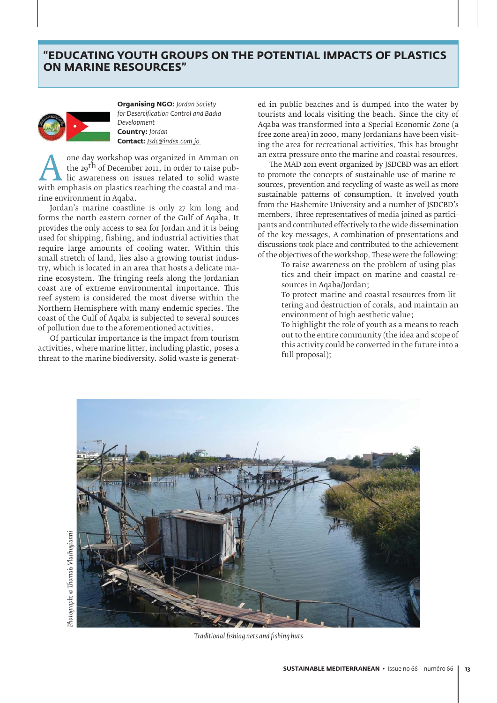## **EDUCATING YOUTH GROUPS ON THE POTENTIAL IMPACTS OF PLASTICS ON MARINE RESOURCES"**



**Organising NGO: Jordan Society**  *for Desertification Control and Badia Development* **Country:** Jordan **¢¡§§į***Jsdc@index.com.jo* 

one day workshop was organized in Amman on<br>the 29<sup>th</sup> of December 2011, in order to raise pub-<br>lic awareness on issues related to solid waste<br>with emphasis on plastics reaching the coastal and mathe 29<sup>th</sup> of December 2011, in order to raise public awareness on issues related to solid waste with emphasis on plastics reaching the coastal and marine environment in Aqaba.

Jordan's marine coastline is only 27 km long and forms the north eastern corner of the Gulf of Aqaba. It provides the only access to sea for Jordan and it is being used for shipping, fishing, and industrial activities that require large amounts of cooling water. Within this small stretch of land, lies also a growing tourist industry, which is located in an area that hosts a delicate marine ecosystem. The fringing reefs along the Jordanian coast are of extreme environmental importance. This reef system is considered the most diverse within the Northern Hemisphere with many endemic species. The coast of the Gulf of Aqaba is subjected to several sources of pollution due to the aforementioned activities.

Of particular importance is the impact from tourism activities, where marine litter, including plastic, poses a threat to the marine biodiversity. Solid waste is generated in public beaches and is dumped into the water by tourists and locals visiting the beach. Since the city of Aqaba was transformed into a Special Economic Zone (a free zone area) in 2000, many Jordanians have been visiting the area for recreational activities. This has brought an extra pressure onto the marine and coastal resources.

The MAD 2011 event organized by JSDCBD was an effort to promote the concepts of sustainable use of marine resources, prevention and recycling of waste as well as more sustainable patterns of consumption. It involved youth from the Hashemite University and a number of JSDCBD's members. Three representatives of media joined as participants and contributed effectively to the wide dissemination of the key messages. A combination of presentations and discussions took place and contributed to the achievement of the objectives of the workshop. These were the following:

- To raise awareness on the problem of using plastics and their impact on marine and coastal resources in Aqaba/Jordan;
- To protect marine and coastal resources from littering and destruction of corals, and maintain an environment of high aesthetic value;
- To highlight the role of youth as a means to reach out to the entire community (the idea and scope of this activity could be converted in the future into a full proposal);



*Traditional fishing nets and fishing huts*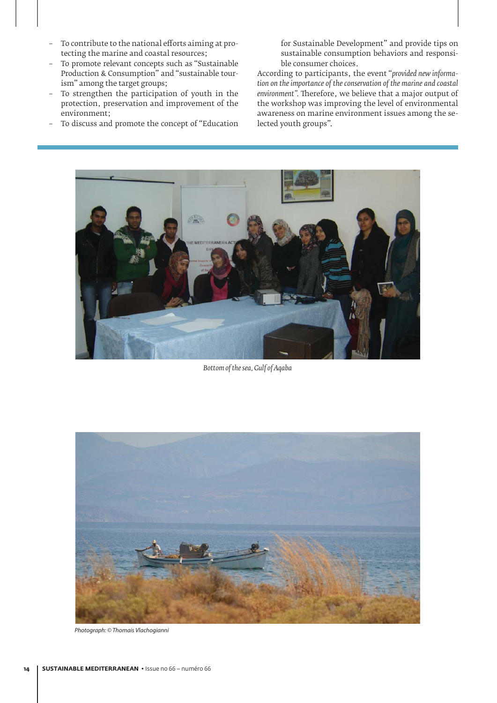- To contribute to the national efforts aiming at protecting the marine and coastal resources;
- To promote relevant concepts such as "Sustainable Production & Consumption" and "sustainable tourism" among the target groups;
- To strengthen the participation of youth in the protection, preservation and improvement of the environment;
- To discuss and promote the concept of "Education

for Sustainable Development" and provide tips on sustainable consumption behaviors and responsible consumer choices.

According to participants, the event "*provided new information on the importance of the conservation of the marine and coastal environment".* Therefore, we believe that a major output of the workshop was improving the level of environmental awareness on marine environment issues among the selected youth groups".



*Bottom of the sea, Gulf of Aqaba*



Photograph: © Thomais Vlachogianni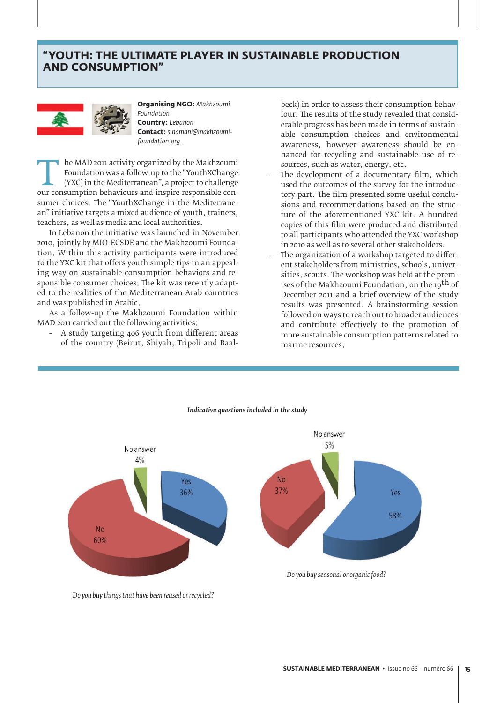## **TYOUTH: THE ULTIMATE PLAYER IN SUSTAINABLE PRODUCTION AND CONSUMPTION"**



**Organising NGO: Makhzoumi**  *Foundation* **Country:** Lebanon **¢¡§§į***s.namani@makhzoumifoundation.org*

The MAD 2011 activity organized by the Makhzoumi<br>Foundation was a follow-up to the "YouthXChange<br>(YXC) in the Mediterranean", a project to challenge<br>our consumption behaviours and inspire responsible con-Foundation was a follow-up to the "YouthXChange (YXC) in the Mediterranean", a project to challenge our consumption behaviours and inspire responsible consumer choices. The "YouthXChange in the Mediterranean" initiative targets a mixed audience of youth, trainers, teachers, as well as media and local authorities.

In Lebanon the initiative was launched in November 2010, jointly by MIO-ECSDE and the Makhzoumi Foundation. Within this activity participants were introduced to the YXC kit that offers youth simple tips in an appealing way on sustainable consumption behaviors and responsible consumer choices. The kit was recently adapted to the realities of the Mediterranean Arab countries and was published in Arabic.

As a follow-up the Makhzoumi Foundation within MAD 2011 carried out the following activities:

– A study targeting 406 youth from different areas of the country (Beirut, Shiyah, Tripoli and Baalbeck) in order to assess their consumption behaviour. The results of the study revealed that considerable progress has been made in terms of sustainable consumption choices and environmental awareness, however awareness should be enhanced for recycling and sustainable use of resources, such as water, energy, etc.

- The development of a documentary film, which used the outcomes of the survey for the introductory part. The film presented some useful conclusions and recommendations based on the structure of the aforementioned YXC kit. A hundred copies of this film were produced and distributed to all participants who attended the YXC workshop in 2010 as well as to several other stakeholders.
- The organization of a workshop targeted to different stakeholders from ministries, schools, universities, scouts. The workshop was held at the premises of the Makhzoumi Foundation, on the 19<sup>th</sup> of December 2011 and a brief overview of the study results was presented. A brainstorming session followed on ways to reach out to broader audiences and contribute effectively to the promotion of more sustainable consumption patterns related to marine resources.



#### *Indicative questions included in the study*

*Do you buy things that have been reused or recycled?*